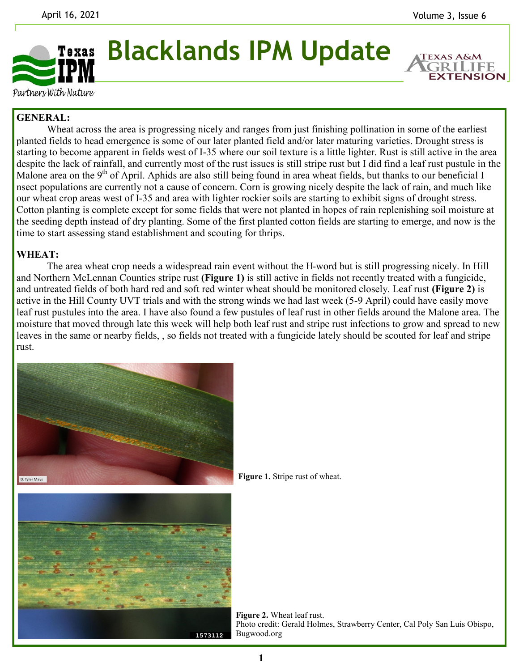**EXTENSION** 



**Blacklands IPM Update**

Partners With Nature

## **GENERAL:**

Wheat across the area is progressing nicely and ranges from just finishing pollination in some of the earliest planted fields to head emergence is some of our later planted field and/or later maturing varieties. Drought stress is starting to become apparent in fields west of I-35 where our soil texture is a little lighter. Rust is still active in the area despite the lack of rainfall, and currently most of the rust issues is still stripe rust but I did find a leaf rust pustule in the Malone area on the  $9<sup>th</sup>$  of April. Aphids are also still being found in area wheat fields, but thanks to our beneficial I nsect populations are currently not a cause of concern. Corn is growing nicely despite the lack of rain, and much like our wheat crop areas west of I-35 and area with lighter rockier soils are starting to exhibit signs of drought stress. Cotton planting is complete except for some fields that were not planted in hopes of rain replenishing soil moisture at the seeding depth instead of dry planting. Some of the first planted cotton fields are starting to emerge, and now is the time to start assessing stand establishment and scouting for thrips.

## **WHEAT:**

The area wheat crop needs a widespread rain event without the H-word but is still progressing nicely. In Hill and Northern McLennan Counties stripe rust **(Figure 1)** is still active in fields not recently treated with a fungicide, and untreated fields of both hard red and soft red winter wheat should be monitored closely. Leaf rust **(Figure 2)** is active in the Hill County UVT trials and with the strong winds we had last week (5-9 April) could have easily move leaf rust pustules into the area. I have also found a few pustules of leaf rust in other fields around the Malone area. The moisture that moved through late this week will help both leaf rust and stripe rust infections to grow and spread to new leaves in the same or nearby fields, , so fields not treated with a fungicide lately should be scouted for leaf and stripe rust.



**Figure 1.** Stripe rust of wheat.

**Figure 2.** Wheat leaf rust. Photo credit: Gerald Holmes, Strawberry Center, Cal Poly San Luis Obispo, Bugwood.org